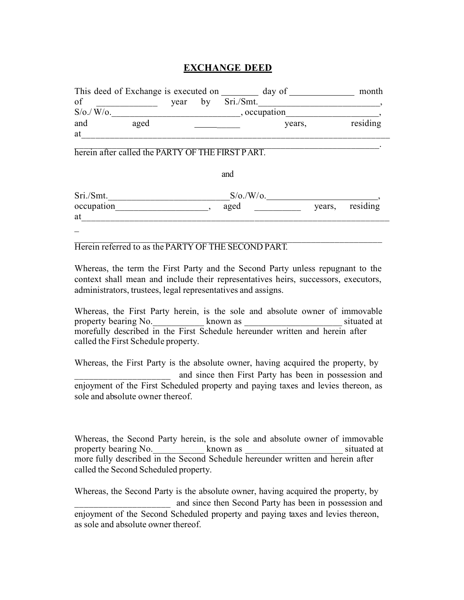# **EXCHANGE DEED**

| This deed of Exchange is executed on |       |      |    |           | month        |          |
|--------------------------------------|-------|------|----|-----------|--------------|----------|
| of                                   |       | vear | bv | Sri./Smt. |              |          |
| S/O./ W/O.                           |       |      |    |           | , occupation |          |
| and                                  | aged  |      |    |           | years,       | residing |
| at                                   |       |      |    |           |              |          |
|                                      | ----- |      |    |           |              |          |

herein after called the PARTY OF THE FIRST PART.

and

| Sri./Smt.  | $S/\sigma$ ./W/ $\sigma$ . |                 |
|------------|----------------------------|-----------------|
| occupation | aged                       | years, residing |
| at         |                            |                 |
|            |                            |                 |

 $\mathcal{L}_\mathcal{L} = \mathcal{L}_\mathcal{L} = \mathcal{L}_\mathcal{L} = \mathcal{L}_\mathcal{L} = \mathcal{L}_\mathcal{L} = \mathcal{L}_\mathcal{L} = \mathcal{L}_\mathcal{L} = \mathcal{L}_\mathcal{L} = \mathcal{L}_\mathcal{L} = \mathcal{L}_\mathcal{L} = \mathcal{L}_\mathcal{L} = \mathcal{L}_\mathcal{L} = \mathcal{L}_\mathcal{L} = \mathcal{L}_\mathcal{L} = \mathcal{L}_\mathcal{L} = \mathcal{L}_\mathcal{L} = \mathcal{L}_\mathcal{L}$ Herein referred to as the PARTY OF THE SECOND PART.

Whereas, the term the First Party and the Second Party unless repugnant to the context shall mean and include their representatives heirs, successors, executors, administrators, trustees, legal representatives and assigns.

Whereas, the First Party herein, is the sole and absolute owner of immovable property bearing No. \_\_\_\_\_\_\_\_\_\_\_\_\_ known as \_\_\_\_\_\_\_\_\_\_\_\_\_\_\_\_\_\_\_\_\_\_\_\_\_ situated at morefully described in the First Schedule hereunder written and herein after called the First Schedule property.

Whereas, the First Party is the absolute owner, having acquired the property, by  $\mathcal{L}_\text{max}$  , where  $\mathcal{L}_\text{max}$  , we have the set of  $\mathcal{L}_\text{max}$ and since then First Party has been in possession and enjoyment of the First Scheduled property and paying taxes and levies thereon, as sole and absolute owner thereof.

Whereas, the Second Party herein, is the sole and absolute owner of immovable property bearing No. The second has been as the situated at situated at  $\sim$  situated at  $\sim$ more fully described in the Second Schedule hereunder written and herein after called the Second Scheduled property.

Whereas, the Second Party is the absolute owner, having acquired the property, by and since then Second Party has been in possession and enjoyment of the Second Scheduled property and paying taxes and levies thereon, as sole and absolute owner thereof.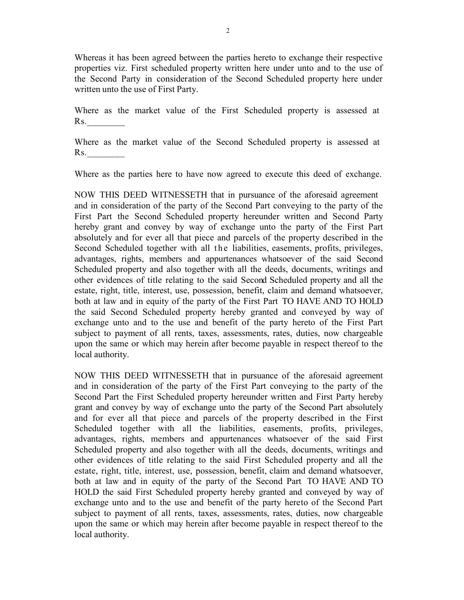Whereas it has been agreed between the parties hereto to exchange their respective properties viz. First scheduled property written here under unto and to the use of the Second Party in consideration of the Second Scheduled property here under written unto the use of First Party.

Where as the market value of the First Scheduled property is assessed at Rs.

Where as the market value of the Second Scheduled property is assessed at Rs.

Where as the parties here to have now agreed to execute this deed of exchange.

NOW THIS DEED WITNESSETH that in pursuance of the aforesaid agreement and in consideration of the party of the Second Part conveying to the party of the First Part the Second Scheduled property hereunder written and Second Party hereby grant and convey by way of exchange unto the party of the First Part absolutely and for ever all that piece and parcels of the property described in the Second Scheduled together with all the liabilities, easements, profits, privileges, advantages, rights, members and appurtenances whatsoever of the said Second Scheduled property and also together with all the deeds, documents, writings and other evidences of title relating to the said Second Scheduled property and all the estate, right, title, interest, use, possession, benefit, claim and demand whatsoever, both at law and in equity of the party of the First Part TO HAVE AND TO HOLD the said Second Scheduled property hereby granted and conveyed by way of exchange unto and to the use and benefit of the party hereto of the First Part subject to payment of all rents, taxes, assessments, rates, duties, now chargeable upon the same or which may herein after become payable in respect thereof to the local authority.

NOW THIS DEED WITNESSETH that in pursuance of the aforesaid agreement and in consideration of the party of the First Part conveying to the party of the Second Part the First Scheduled property hereunder written and First Party hereby grant and convey by way of exchange unto the party of the Second Part absolutely and for ever all that piece and parcels of the property described in the First Scheduled together with all the liabilities, easements, profits, privileges, advantages, rights, members and appurtenances whatsoever of the said First Scheduled property and also together with all the deeds, documents, writings and other evidences of title relating to the said First Scheduled property and all the estate, right, title, interest, use, possession, benefit, claim and demand whatsoever, both at law and in equity of the party of the Second Part TO HAVE AND TO HOLD the said First Scheduled property hereby granted and conveyed by way of exchange unto and to the use and benefit of the party hereto of the Second Part subject to payment of all rents, taxes, assessments, rates, duties, now chargeable upon the same or which may herein after become payable in respect thereof to the local authority.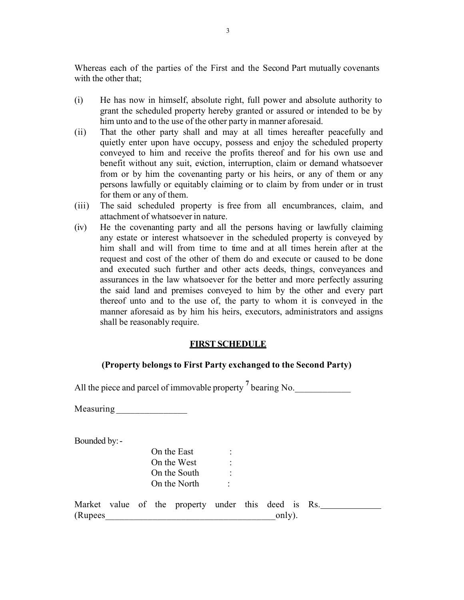Whereas each of the parties of the First and the Second Part mutually covenants with the other that;

- (i) He has now in himself, absolute right, full power and absolute authority to grant the scheduled property hereby granted or assured or intended to be by him unto and to the use of the other party in manner aforesaid.
- (ii) That the other party shall and may at all times hereafter peacefully and quietly enter upon have occupy, possess and enjoy the scheduled property conveyed to him and receive the profits thereof and for his own use and benefit without any suit, eviction, interruption, claim or demand whatsoever from or by him the covenanting party or his heirs, or any of them or any persons lawfully or equitably claiming or to claim by from under or in trust for them or any of them.
- (iii) The said scheduled property is free from all encumbrances, claim, and attachment of whatsoever in nature.
- (iv) He the covenanting party and all the persons having or lawfully claiming any estate or interest whatsoever in the scheduled property is conveyed by him shall and will from time to time and at all times herein after at the request and cost of the other of them do and execute or caused to be done and executed such further and other acts deeds, things, conveyances and assurances in the law whatsoever for the better and more perfectly assuring the said land and premises conveyed to him by the other and every part thereof unto and to the use of, the party to whom it is conveyed in the manner aforesaid as by him his heirs, executors, administrators and assigns shall be reasonably require.

#### **FIRST SCHEDULE**

#### **(Property belongs to First Party exchanged to the Second Party)**

All the piece and parcel of immovable property  $^7$  bearing No.

Measuring \_\_\_\_\_\_\_\_\_\_\_\_\_\_\_

Bounded by:-

|         |  | On the East<br>On the West<br>On the South<br>On the North | ٠ |        |  |  |  |
|---------|--|------------------------------------------------------------|---|--------|--|--|--|
| (Rupees |  | Market value of the property under this deed is Rs.        |   | only). |  |  |  |